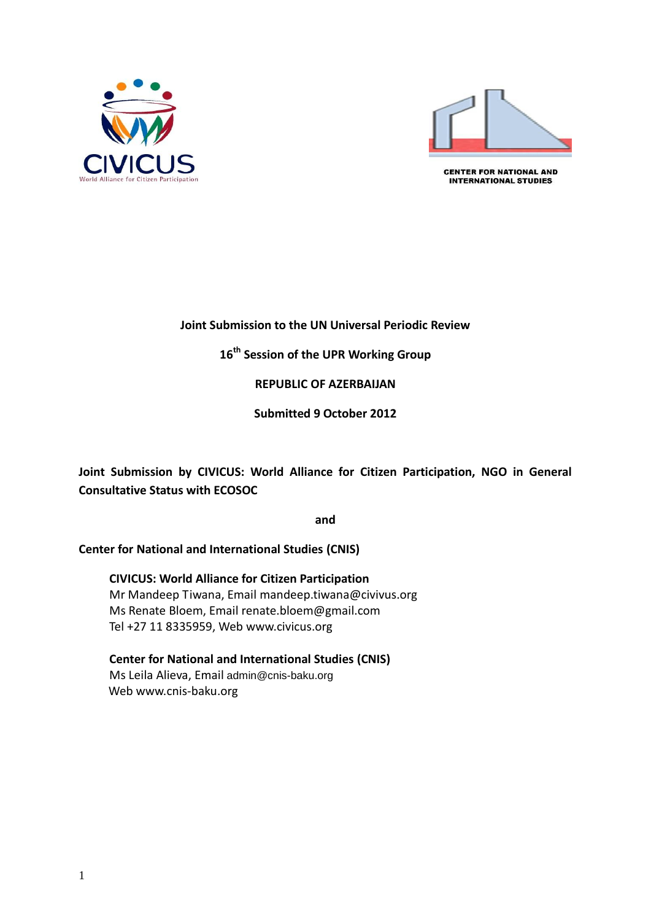



**CENTER FOR NATIONAL AND INTERNATIONAL STUDIES** 

## **Joint Submission to the UN Universal Periodic Review**

**16th Session of the UPR Working Group**

**REPUBLIC OF AZERBAIJAN**

**Submitted 9 October 2012**

**Joint Submission by CIVICUS: World Alliance for Citizen Participation, NGO in General Consultative Status with ECOSOC** 

**and**

**Center for National and International Studies (CNIS)** 

**CIVICUS: World Alliance for Citizen Participation** Mr Mandeep Tiwana, Email [mandeep.tiwana@civivus.org](mailto:mandeep.tiwana@civivus.org) Ms Renate Bloem, Email [renate.bloem@gmail.com](mailto:renate.bloem@gmail.com) Tel +27 11 8335959, Web [www.civicus.org](http://www.civicus.org/)

**Center for National and International Studies (CNIS)**  Ms Leila Alieva, Email [admin@cnis-baku.org](mailto:admin@cnis-baku.org) Web www.cnis-baku.org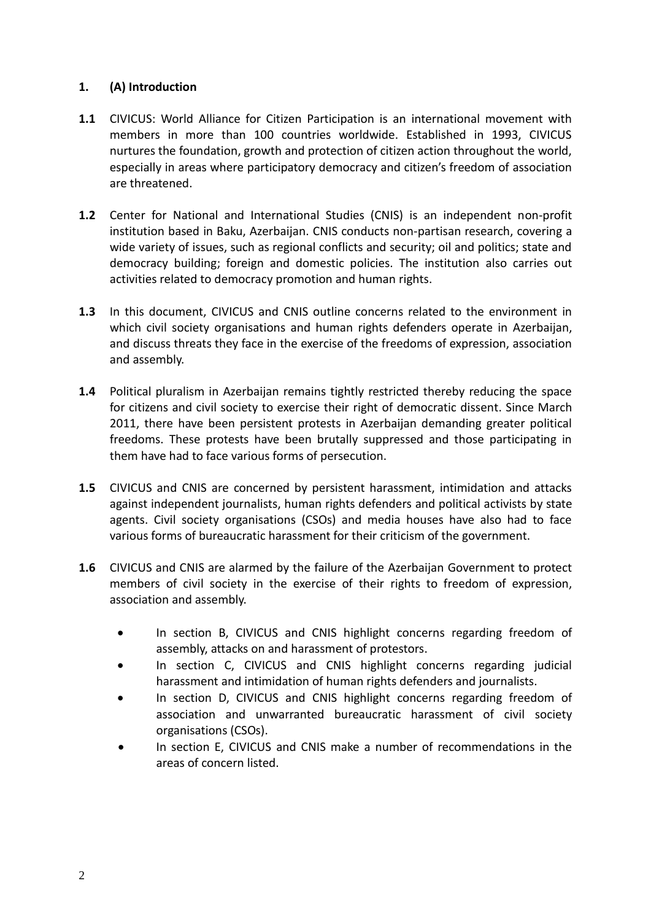## **1. (A) Introduction**

- **1.1** CIVICUS: World Alliance for Citizen Participation is an international movement with members in more than 100 countries worldwide. Established in 1993, CIVICUS nurtures the foundation, growth and protection of citizen action throughout the world, especially in areas where participatory democracy and citizen's freedom of association are threatened.
- **1.2** Center for National and International Studies (CNIS) is an independent non-profit institution based in Baku, Azerbaijan. CNIS conducts non-partisan research, covering a wide variety of issues, such as regional conflicts and security; oil and politics; state and democracy building; foreign and domestic policies. The institution also carries out activities related to democracy promotion and human rights.
- **1.3** In this document, CIVICUS and CNIS outline concerns related to the environment in which civil society organisations and human rights defenders operate in Azerbaijan, and discuss threats they face in the exercise of the freedoms of expression, association and assembly.
- **1.4** Political pluralism in Azerbaijan remains tightly restricted thereby reducing the space for citizens and civil society to exercise their right of democratic dissent. Since March 2011, there have been persistent protests in Azerbaijan demanding greater political freedoms. These protests have been brutally suppressed and those participating in them have had to face various forms of persecution.
- **1.5** CIVICUS and CNIS are concerned by persistent harassment, intimidation and attacks against independent journalists, human rights defenders and political activists by state agents. Civil society organisations (CSOs) and media houses have also had to face various forms of bureaucratic harassment for their criticism of the government.
- **1.6** CIVICUS and CNIS are alarmed by the failure of the Azerbaijan Government to protect members of civil society in the exercise of their rights to freedom of expression, association and assembly.
	- In section B, CIVICUS and CNIS highlight concerns regarding freedom of assembly, attacks on and harassment of protestors.
	- In section C, CIVICUS and CNIS highlight concerns regarding judicial harassment and intimidation of human rights defenders and journalists.
	- In section D, CIVICUS and CNIS highlight concerns regarding freedom of association and unwarranted bureaucratic harassment of civil society organisations (CSOs).
	- In section E, CIVICUS and CNIS make a number of recommendations in the areas of concern listed.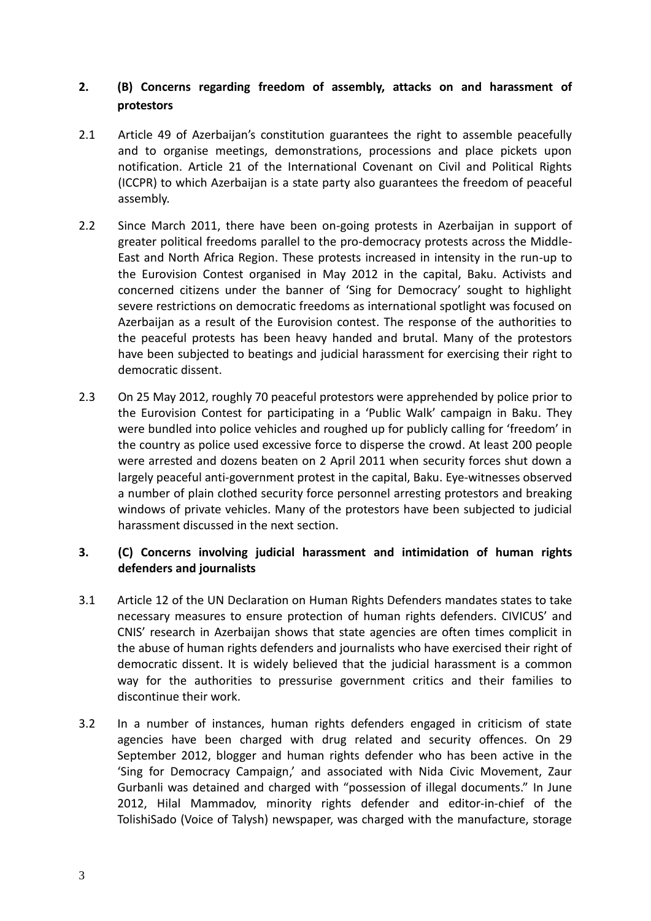# **2. (B) Concerns regarding freedom of assembly, attacks on and harassment of protestors**

- 2.1 Article 49 of Azerbaijan's constitution guarantees the right to assemble peacefully and to organise meetings, demonstrations, processions and place pickets upon notification. Article 21 of the International Covenant on Civil and Political Rights (ICCPR) to which Azerbaijan is a state party also guarantees the freedom of peaceful assembly.
- 2.2 Since March 2011, there have been on-going protests in Azerbaijan in support of greater political freedoms parallel to the pro-democracy protests across the Middle-East and North Africa Region. These protests increased in intensity in the run-up to the Eurovision Contest organised in May 2012 in the capital, Baku. Activists and concerned citizens under the banner of 'Sing for Democracy' sought to highlight severe restrictions on democratic freedoms as international spotlight was focused on Azerbaijan as a result of the Eurovision contest. The response of the authorities to the peaceful protests has been heavy handed and brutal. Many of the protestors have been subjected to beatings and judicial harassment for exercising their right to democratic dissent.
- 2.3 On 25 May 2012, roughly 70 peaceful protestors were apprehended by police prior to the Eurovision Contest for participating in a 'Public Walk' campaign in Baku. They were bundled into police vehicles and roughed up for publicly calling for 'freedom' in the country as police used excessive force to disperse the crowd. At least 200 people were arrested and dozens beaten on 2 April 2011 when security forces shut down a largely peaceful anti-government protest in the capital, Baku. Eye-witnesses observed a number of plain clothed security force personnel arresting protestors and breaking windows of private vehicles. Many of the protestors have been subjected to judicial harassment discussed in the next section.

## **3. (C) Concerns involving judicial harassment and intimidation of human rights defenders and journalists**

- 3.1 Article 12 of the UN Declaration on Human Rights Defenders mandates states to take necessary measures to ensure protection of human rights defenders. CIVICUS' and CNIS' research in Azerbaijan shows that state agencies are often times complicit in the abuse of human rights defenders and journalists who have exercised their right of democratic dissent. It is widely believed that the judicial harassment is a common way for the authorities to pressurise government critics and their families to discontinue their work.
- 3.2 In a number of instances, human rights defenders engaged in criticism of state agencies have been charged with drug related and security offences. On 29 September 2012, blogger and human rights defender who has been active in the 'Sing for Democracy Campaign,' and associated with Nida Civic Movement, Zaur Gurbanli was detained and charged with "possession of illegal documents." In June 2012, Hilal Mammadov, minority rights defender and editor-in-chief of the TolishiSado (Voice of Talysh) newspaper, was charged with the manufacture, storage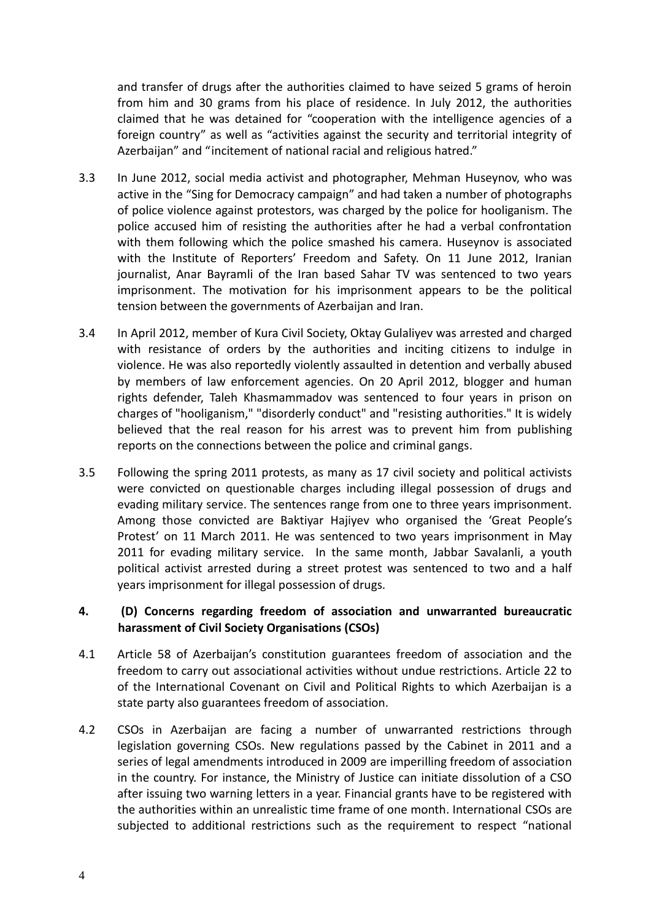and transfer of drugs after the authorities claimed to have seized 5 grams of heroin from him and 30 grams from his place of residence. In July 2012, the authorities claimed that he was detained for "cooperation with the intelligence agencies of a foreign country" as well as "activities against the security and territorial integrity of Azerbaijan" and "incitement of national racial and religious hatred."

- 3.3 In June 2012, social media activist and photographer, Mehman Huseynov, who was active in the "Sing for Democracy campaign" and had taken a number of photographs of police violence against protestors, was charged by the police for hooliganism. The police accused him of resisting the authorities after he had a verbal confrontation with them following which the police smashed his camera. Huseynov is associated with the Institute of Reporters' Freedom and Safety. On 11 June 2012, Iranian journalist, Anar Bayramli of the Iran based Sahar TV was sentenced to two years imprisonment. The motivation for his imprisonment appears to be the political tension between the governments of Azerbaijan and Iran.
- 3.4 In April 2012, member of Kura Civil Society, Oktay Gulaliyev was arrested and charged with resistance of orders by the authorities and inciting citizens to indulge in violence. He was also reportedly violently assaulted in detention and verbally abused by members of law enforcement agencies. On 20 April 2012, blogger and human rights defender, Taleh Khasmammadov was sentenced to four years in prison on charges of "hooliganism," "disorderly conduct" and "resisting authorities." It is widely believed that the real reason for his arrest was to prevent him from publishing reports on the connections between the police and criminal gangs.
- 3.5 Following the spring 2011 protests, as many as 17 civil society and political activists were convicted on questionable charges including illegal possession of drugs and evading military service. The sentences range from one to three years imprisonment. Among those convicted are Baktiyar Hajiyev who organised the 'Great People's Protest' on 11 March 2011. He was sentenced to two years imprisonment in May 2011 for evading military service. In the same month, Jabbar Savalanli, a youth political activist arrested during a street protest was sentenced to two and a half years imprisonment for illegal possession of drugs.

#### **4. (D) Concerns regarding freedom of association and unwarranted bureaucratic harassment of Civil Society Organisations (CSOs)**

- 4.1 Article 58 of Azerbaijan's constitution guarantees freedom of association and the freedom to carry out associational activities without undue restrictions. Article 22 to of the International Covenant on Civil and Political Rights to which Azerbaijan is a state party also guarantees freedom of association.
- 4.2 CSOs in Azerbaijan are facing a number of unwarranted restrictions through legislation governing CSOs. New regulations passed by the Cabinet in 2011 and a series of legal amendments introduced in 2009 are imperilling freedom of association in the country. For instance, the Ministry of Justice can initiate dissolution of a CSO after issuing two warning letters in a year. Financial grants have to be registered with the authorities within an unrealistic time frame of one month. International CSOs are subjected to additional restrictions such as the requirement to respect "national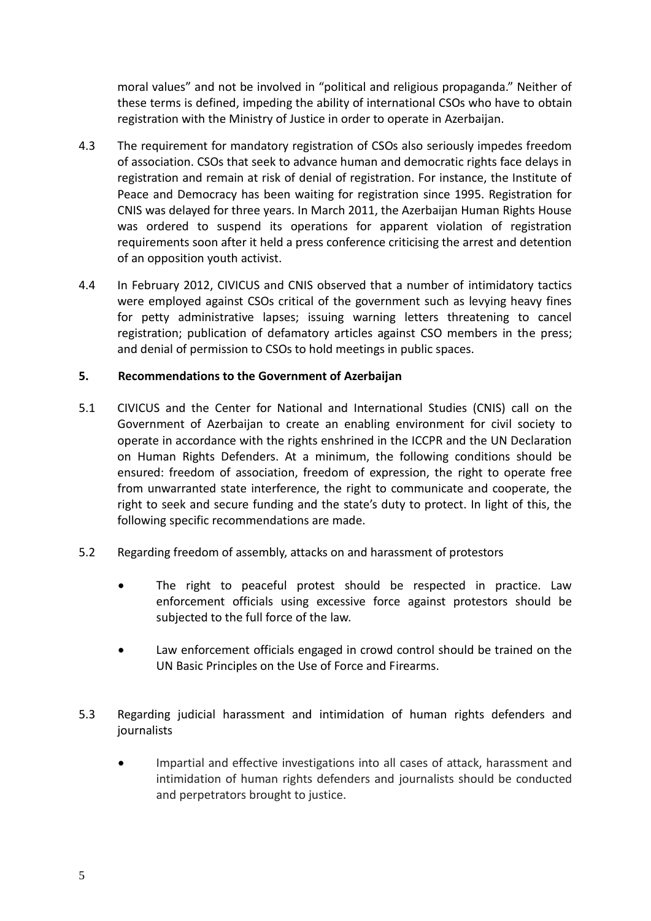moral values" and not be involved in "political and religious propaganda." Neither of these terms is defined, impeding the ability of international CSOs who have to obtain registration with the Ministry of Justice in order to operate in Azerbaijan.

- 4.3 The requirement for mandatory registration of CSOs also seriously impedes freedom of association. CSOs that seek to advance human and democratic rights face delays in registration and remain at risk of denial of registration. For instance, the Institute of Peace and Democracy has been waiting for registration since 1995. Registration for CNIS was delayed for three years. In March 2011, the Azerbaijan Human Rights House was ordered to suspend its operations for apparent violation of registration requirements soon after it held a press conference criticising the arrest and detention of an opposition youth activist.
- 4.4 In February 2012, CIVICUS and CNIS observed that a number of intimidatory tactics were employed against CSOs critical of the government such as levying heavy fines for petty administrative lapses; issuing warning letters threatening to cancel registration; publication of defamatory articles against CSO members in the press; and denial of permission to CSOs to hold meetings in public spaces.

#### **5. Recommendations to the Government of Azerbaijan**

- 5.1 CIVICUS and the Center for National and International Studies (CNIS) call on the Government of Azerbaijan to create an enabling environment for civil society to operate in accordance with the rights enshrined in the ICCPR and the UN Declaration on Human Rights Defenders. At a minimum, the following conditions should be ensured: freedom of association, freedom of expression, the right to operate free from unwarranted state interference, the right to communicate and cooperate, the right to seek and secure funding and the state's duty to protect. In light of this, the following specific recommendations are made.
- 5.2 Regarding freedom of assembly, attacks on and harassment of protestors
	- The right to peaceful protest should be respected in practice. Law enforcement officials using excessive force against protestors should be subjected to the full force of the law.
	- Law enforcement officials engaged in crowd control should be trained on the UN Basic Principles on the Use of Force and Firearms.
- 5.3 Regarding judicial harassment and intimidation of human rights defenders and journalists
	- Impartial and effective investigations into all cases of attack, harassment and intimidation of human rights defenders and journalists should be conducted and perpetrators brought to justice.